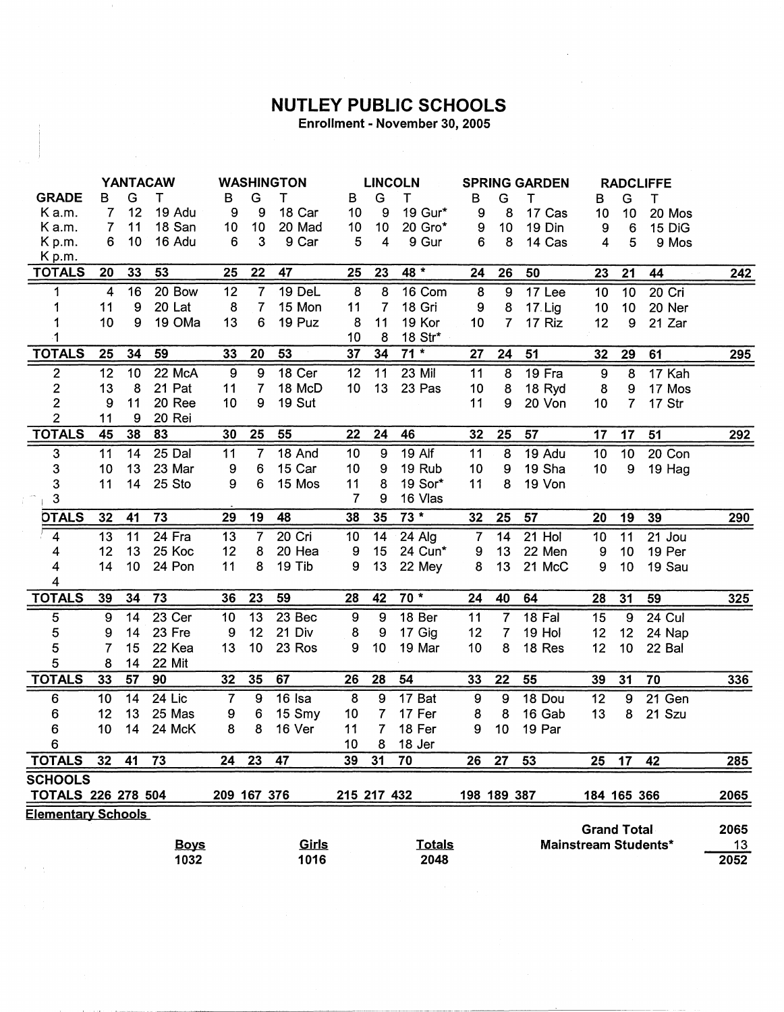## **NUTLEY PUBLIC SCHOOLS**

Enrollment - November 30, 2005

|                           | <b>YANTACAW</b> |    |             | <b>WASHINGTON</b> |                  |        |                  | <b>LINCOLN</b> |               |                  | <b>SPRING GARDEN</b> |         |                      | <b>RADCLIFFE</b> |          |            |
|---------------------------|-----------------|----|-------------|-------------------|------------------|--------|------------------|----------------|---------------|------------------|----------------------|---------|----------------------|------------------|----------|------------|
| <b>GRADE</b>              | в               | G  | т           | в                 | G                | т      | В                | G              | т             | В                | G                    | т       | в                    | G                | Τ        |            |
| Ka.m.                     | $\overline{7}$  | 12 | 19 Adu      | 9                 | 9                | 18 Car | 10               | 9              | 19 Gur*       | 9                | 8                    | 17 Cas  | 10                   | 10               | 20 Mos   |            |
| K a.m.                    | $\overline{7}$  | 11 | 18 San      | 10                | 10               | 20 Mad | 10               | 10             | 20 Gro*       | 9                | 10                   | 19 Din  | 9                    | $\,6$            | 15 DiG   |            |
| Kp.m.                     | 6               | 10 | 16 Adu      | 6                 | $\mathbf{3}$     | 9 Car  | 5                | 4              | 9 Gur         | 6                | 8                    | 14 Cas  | 4                    | 5                | 9 Mos    |            |
| Kp.m.                     |                 |    |             |                   |                  |        |                  |                |               |                  |                      |         |                      |                  |          |            |
| <b>TOTALS</b>             | 20              | 33 | 53          | 25                | 22               | 47     | 25               | 23             | 48 *          | 24               | 26                   | 50      | 23                   | 21               | 44       | <u>242</u> |
| 1                         | $\overline{4}$  | 16 | 20 Bow      | 12                | $\overline{7}$   | 19 DeL | 8                | 8              | 16 Com        | 8                | 9                    | 17 Lee  | 10                   | 10               | 20 Cri   |            |
| 1                         | 11              | 9  | 20 Lat      | 8                 | 7                | 15 Mon | 11               | 7              | 18 Gri        | 9                | 8                    | 17. Lig | 10 <sub>1</sub>      | 10               | 20 Ner   |            |
|                           | 10              | 9  | 19 OMa      | 13                | 6                | 19 Puz | 8                | 11             | 19 Kor        | 10 <sub>1</sub>  | 7                    | 17 Riz  | 12                   | 9                | 21 Zar   |            |
| -1                        |                 |    |             |                   |                  |        | 10               | 8              | 18 Str*       |                  |                      |         |                      |                  |          |            |
| <b>TOTALS</b>             | 25              | 34 | 59          | 33                | 20               | 53     | 37               | 34             | $71*$         | 27               | 24                   | 51      | 32                   | 29               | 61       | 295        |
| $\overline{2}$            | 12              | 10 | 22 McA      | $\boldsymbol{9}$  | $\boldsymbol{9}$ | 18 Cer | 12               | 11             | 23 Mil        | 11               | 8                    | 19 Fra  | $\boldsymbol{9}$     | $\overline{8}$   | 17 Kah   |            |
| $\overline{\mathbf{c}}$   | 13              | 8  | 21 Pat      | 11                | $\overline{7}$   | 18 McD | 10 <sub>1</sub>  | 13             | 23 Pas        | 10               | 8                    | 18 Ryd  | 8                    | 9                | 17 Mos   |            |
| $\overline{2}$            | 9               | 11 | 20 Ree      | 10                | 9                | 19 Sut |                  |                |               | 11               | 9                    | 20 Von  | 10                   | 7                | 17 Str   |            |
| $\overline{2}$            | 11              | 9  | 20 Rei      |                   |                  |        |                  |                |               |                  |                      |         |                      |                  |          |            |
| <b>TOTALS</b>             | 45              | 38 | 83          | 30                | 25               | 55     | 22               | 24             | 46            | 32               | 25                   | 57      | 17                   | 17               | 51       | 292        |
| 3                         | 11              | 14 | 25 Dal      | 11                | $\overline{7}$   | 18 And | 10               | 9              | 19 Alf        | 11               | 8                    | 19 Adu  | 10                   | 10               | 20 Con   |            |
| 3                         | 10              | 13 | 23 Mar      | 9                 | 6                | 15 Car | 10               | 9              | 19 Rub        | 10               | 9                    | 19 Sha  | 10                   | $\boldsymbol{9}$ | 19 Hag   |            |
| 3                         | 11              | 14 | 25 Sto      | 9                 | $\boldsymbol{6}$ | 15 Mos | 11               | 8              | 19 Sor*       | 11               | 8                    | 19 Von  |                      |                  |          |            |
| 3                         |                 |    |             |                   |                  |        | 7                | 9              | 16 Vlas       |                  |                      |         |                      |                  |          |            |
| <b>DTALS</b>              | 32              | 41 | 73          | 29                | 19               | 48     | 38               | 35             | $73 *$        | 32               | 25                   | 57      | 20                   | 19               | 39       | <u>290</u> |
| $\overline{4}$            | 13              | 11 | 24 Fra      | 13                | $\overline{7}$   | 20 Cri | 10               | 14             | 24 Alg        | $\overline{7}$   | 14                   | 21 Hol  | 10 <sub>1</sub>      | 11               | 21 Jou   |            |
| 4                         | 12              | 13 | 25 Koc      | 12                | 8                | 20 Hea | 9                | 15             | 24 Cun*       | 9                | 13                   | 22 Men  | 9                    | 10               | 19 Per   |            |
| 4                         | 14              | 10 | 24 Pon      | 11                | 8                | 19 Tib | 9                | 13             | 22 Mey        | 8                | 13                   | 21 McC  | 9                    | 10               | 19 Sau   |            |
| 4                         |                 |    |             |                   |                  |        |                  |                |               |                  |                      |         |                      |                  |          |            |
| <b>TOTALS</b>             | 39              | 34 | 73          | 36                | 23               | 59     | 28               | 42             | $70*$         | 24               | 40                   | 64      | 28                   | 31               | 59       | 325        |
| $\overline{5}$            | 9               | 14 | 23 Cer      | 10                | 13               | 23 Bec | $\boldsymbol{9}$ | $\overline{9}$ | 18 Ber        | $\overline{11}$  | $\overline{7}$       | 18 Fal  | 15                   | $\overline{9}$   | $24$ Cul |            |
| 5                         | 9               | 14 | 23 Fre      | 9                 | 12               | 21 Div | 8                | 9              | 17 Gig        | 12               | 7                    | 19 Hol  | 12                   | 12               | 24 Nap   |            |
| 5                         | 7               | 15 | 22 Kea      | 13                | 10               | 23 Ros | 9                | 10             | 19 Mar        | 10               | 8                    | 18 Res  | 12                   | 10               | 22 Bal   |            |
| 5                         | 8               | 14 | 22 Mit      |                   |                  |        |                  |                |               |                  |                      |         |                      |                  |          |            |
| <b>TOTALS</b>             | 33              | 57 | 90          | 32                | 35               | 67     | 26               | 28             | 54            | 33               | 22                   | 55      | 39                   | 31               | 70       | 336        |
| 6                         | 10              | 14 | $24$ Lic    | $\overline{7}$    | $\boldsymbol{9}$ | 16 Isa | 8                | 9              | 17 Bat        | $\boldsymbol{9}$ | 9                    | 18 Dou  | 12                   | 9                | 21 Gen   |            |
| 6                         | 12              | 13 | 25 Mas      | 9                 | 6                | 15 Smy | 10 <sub>1</sub>  | $\overline{7}$ | 17 Fer        | 8                | 8                    | 16 Gab  | 13                   | 8                | 21 Szu   |            |
| 6                         | 10              | 14 | 24 McK      | 8                 | 8                | 16 Ver | 11               | $\overline{7}$ | 18 Fer        | 9                | 10                   | 19 Par  |                      |                  |          |            |
| 6                         |                 |    |             |                   |                  |        | 10               | 8              | 18 Jer        |                  |                      |         |                      |                  |          |            |
| <b>TOTALS</b>             | 32 <sub>2</sub> | 41 | 73          | 24                | 23               | 47     | 39               | 31             | 70            | 26               | 27                   | 53      | 25                   | 17               | 42       | 285        |
| <b>SCHOOLS</b>            |                 |    |             |                   |                  |        |                  |                |               |                  |                      |         |                      |                  |          |            |
| <b>TOTALS 226 278 504</b> |                 |    |             | 209 167 376       |                  |        | 215 217 432      |                |               |                  | 198 189 387          |         | 184 165 366          |                  |          | 2065       |
| <b>Elementary Schools</b> |                 |    |             |                   |                  |        |                  |                |               |                  |                      |         |                      |                  |          |            |
|                           |                 |    |             |                   |                  |        |                  |                |               |                  |                      |         | <b>Grand Total</b>   |                  |          | 2065       |
|                           |                 |    | <b>Boys</b> |                   |                  | Girls  |                  |                | <b>Totals</b> |                  |                      |         | Mainstream Students* |                  |          | 13         |
|                           |                 |    | 1032        |                   |                  | 1016   |                  |                | 2048          |                  |                      |         |                      |                  |          | 2052       |